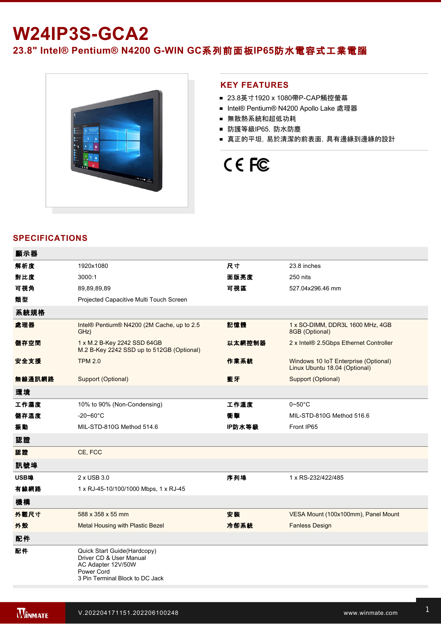# **W24IP3S-GCA2**

23.8" Intel® Pentium® N4200 G-WIN GC系列前面板IP65防水電容式工業電腦



### **KEY FEATURES**

- 23.8英寸1920 x 1080帶P-CAP觸控螢幕
- Intel® Pentium® N4200 Apollo Lake 處理器
- 無散熱系統和超低功耗
- 防護等級IP65, 防水防塵
- 真正的平坦,易於清潔的前表面,具有邊緣到邊緣的設計

# CE FC

## **SPECIFICATIONS**

| 顯示器    |                                                                                                                               |        |                                                                       |
|--------|-------------------------------------------------------------------------------------------------------------------------------|--------|-----------------------------------------------------------------------|
| 解析度    | 1920x1080                                                                                                                     | 尺寸     | 23.8 inches                                                           |
| 對比度    | 3000:1                                                                                                                        | 面版亮度   | 250 nits                                                              |
| 可視角    | 89,89,89,89                                                                                                                   | 可視區    | 527.04x296.46 mm                                                      |
| 類型     | Projected Capacitive Multi Touch Screen                                                                                       |        |                                                                       |
| 系統規格   |                                                                                                                               |        |                                                                       |
| 處理器    | Intel® Pentium® N4200 (2M Cache, up to 2.5<br>GHz)                                                                            | 記憶體    | 1 x SO-DIMM, DDR3L 1600 MHz, 4GB<br>8GB (Optional)                    |
| 儲存空間   | 1 x M.2 B-Key 2242 SSD 64GB<br>M.2 B-Key 2242 SSD up to 512GB (Optional)                                                      | 以太網控制器 | 2 x Intel® 2.5Gbps Ethernet Controller                                |
| 安全支援   | <b>TPM 2.0</b>                                                                                                                | 作業系統   | Windows 10 IoT Enterprise (Optional)<br>Linux Ubuntu 18.04 (Optional) |
| 無線通訊網路 | Support (Optional)                                                                                                            | 藍牙     | Support (Optional)                                                    |
| 環境     |                                                                                                                               |        |                                                                       |
| 工作濕度   | 10% to 90% (Non-Condensing)                                                                                                   | 工作溫度   | $0\neg 50^\circ C$                                                    |
| 儲存溫度   | $-20 - 60^{\circ}$ C                                                                                                          | 衝擊     | MIL-STD-810G Method 516.6                                             |
| 振動     | MIL-STD-810G Method 514.6                                                                                                     | IP防水等級 | Front IP65                                                            |
| 認證     |                                                                                                                               |        |                                                                       |
| 認證     | CE, FCC                                                                                                                       |        |                                                                       |
| 訊號埠    |                                                                                                                               |        |                                                                       |
| USB埠   | 2 x USB 3.0                                                                                                                   | 序列埠    | 1 x RS-232/422/485                                                    |
| 有線網路   | 1 x RJ-45-10/100/1000 Mbps, 1 x RJ-45                                                                                         |        |                                                                       |
| 機構     |                                                                                                                               |        |                                                                       |
| 外觀尺寸   | 588 x 358 x 55 mm                                                                                                             | 安装     | VESA Mount (100x100mm), Panel Mount                                   |
| 外殼     | Metal Housing with Plastic Bezel                                                                                              | 冷卻系統   | <b>Fanless Design</b>                                                 |
| 配件     |                                                                                                                               |        |                                                                       |
| 配件     | Quick Start Guide(Hardcopy)<br>Driver CD & User Manual<br>AC Adapter 12V/50W<br>Power Cord<br>3 Pin Terminal Block to DC Jack |        |                                                                       |

**在** 

控制

電源